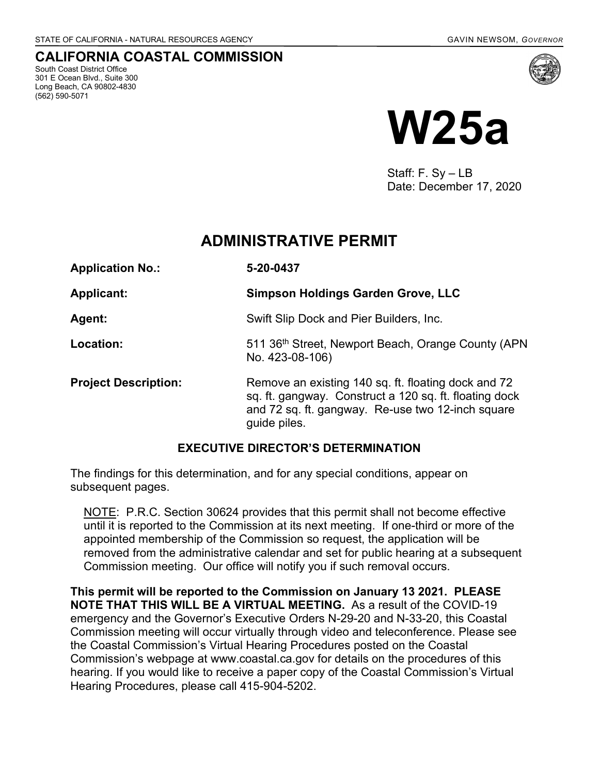# **CALIFORNIA COASTAL COMMISSION**

South Coast District Office 301 E Ocean Blvd., Suite 300 Long Beach, CA 90802-4830 (562) 590-5071



# **W25a**

Staff: F. Sy – LB Date: December 17, 2020

# **ADMINISTRATIVE PERMIT**

| <b>Application No.:</b>     | 5-20-0437                                                                                                                                                                          |
|-----------------------------|------------------------------------------------------------------------------------------------------------------------------------------------------------------------------------|
| <b>Applicant:</b>           | <b>Simpson Holdings Garden Grove, LLC</b>                                                                                                                                          |
| <b>Agent:</b>               | Swift Slip Dock and Pier Builders, Inc.                                                                                                                                            |
| Location:                   | 511 36th Street, Newport Beach, Orange County (APN<br>No. 423-08-106)                                                                                                              |
| <b>Project Description:</b> | Remove an existing 140 sq. ft. floating dock and 72<br>sq. ft. gangway. Construct a 120 sq. ft. floating dock<br>and 72 sq. ft. gangway. Re-use two 12-inch square<br>guide piles. |

## **EXECUTIVE DIRECTOR'S DETERMINATION**

The findings for this determination, and for any special conditions, appear on subsequent pages.

NOTE: P.R.C. Section 30624 provides that this permit shall not become effective until it is reported to the Commission at its next meeting. If one-third or more of the appointed membership of the Commission so request, the application will be removed from the administrative calendar and set for public hearing at a subsequent Commission meeting. Our office will notify you if such removal occurs.

**This permit will be reported to the Commission on January 13 2021. PLEASE NOTE THAT THIS WILL BE A VIRTUAL MEETING.** As a result of the COVID-19 emergency and the Governor's Executive Orders N-29-20 and N-33-20, this Coastal Commission meeting will occur virtually through video and teleconference. Please see the Coastal Commission's Virtual Hearing Procedures posted on the Coastal Commission's webpage at www.coastal.ca.gov for details on the procedures of this hearing. If you would like to receive a paper copy of the Coastal Commission's Virtual Hearing Procedures, please call 415-904-5202.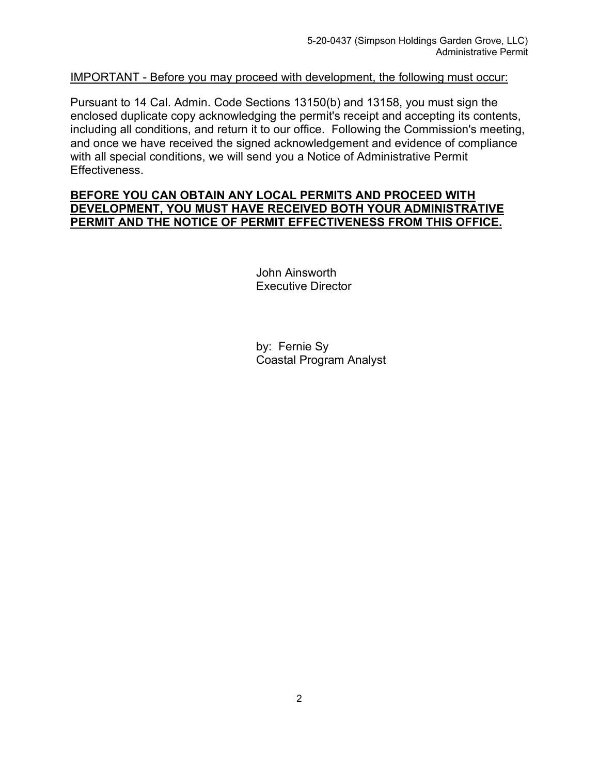#### IMPORTANT - Before you may proceed with development, the following must occur:

Pursuant to 14 Cal. Admin. Code Sections 13150(b) and 13158, you must sign the enclosed duplicate copy acknowledging the permit's receipt and accepting its contents, including all conditions, and return it to our office. Following the Commission's meeting, and once we have received the signed acknowledgement and evidence of compliance with all special conditions, we will send you a Notice of Administrative Permit Effectiveness.

#### **BEFORE YOU CAN OBTAIN ANY LOCAL PERMITS AND PROCEED WITH DEVELOPMENT, YOU MUST HAVE RECEIVED BOTH YOUR ADMINISTRATIVE PERMIT AND THE NOTICE OF PERMIT EFFECTIVENESS FROM THIS OFFICE.**

John Ainsworth Executive Director

by: Fernie Sy Coastal Program Analyst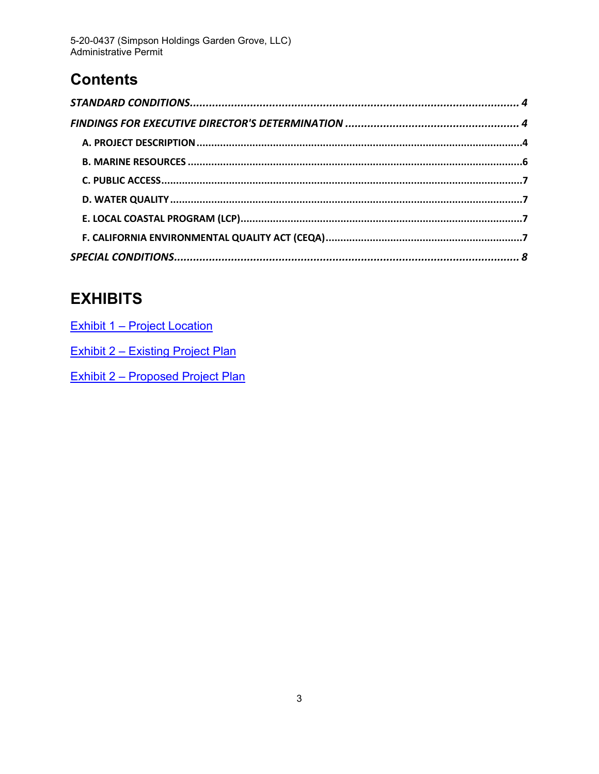5-20-0437 (Simpson Holdings Garden Grove, LLC)<br>Administrative Permit

# **Contents**

# E

| <b>EXHIBITS</b>              |  |
|------------------------------|--|
| Exhibit 1 – Project Location |  |

**Exhibit 2 - Existing Project Plan** 

**Exhibit 2 - Proposed Project Plan**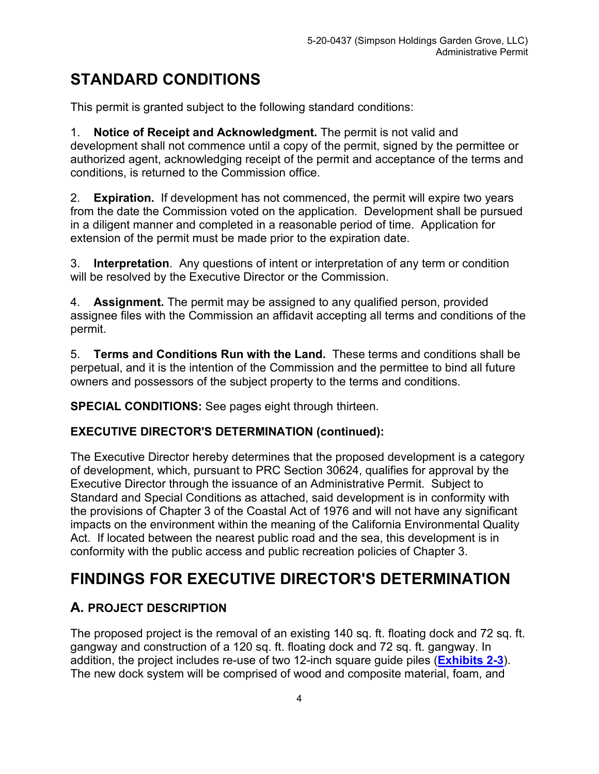# <span id="page-3-0"></span>**STANDARD CONDITIONS**

This permit is granted subject to the following standard conditions:

1. **Notice of Receipt and Acknowledgment.** The permit is not valid and development shall not commence until a copy of the permit, signed by the permittee or authorized agent, acknowledging receipt of the permit and acceptance of the terms and conditions, is returned to the Commission office.

2. **Expiration.** If development has not commenced, the permit will expire two years from the date the Commission voted on the application. Development shall be pursued in a diligent manner and completed in a reasonable period of time. Application for extension of the permit must be made prior to the expiration date.

3. **Interpretation**. Any questions of intent or interpretation of any term or condition will be resolved by the Executive Director or the Commission.

4. **Assignment.** The permit may be assigned to any qualified person, provided assignee files with the Commission an affidavit accepting all terms and conditions of the permit.

5. **Terms and Conditions Run with the Land.** These terms and conditions shall be perpetual, and it is the intention of the Commission and the permittee to bind all future owners and possessors of the subject property to the terms and conditions.

**SPECIAL CONDITIONS:** See pages eight through thirteen.

## **EXECUTIVE DIRECTOR'S DETERMINATION (continued):**

The Executive Director hereby determines that the proposed development is a category of development, which, pursuant to PRC Section 30624, qualifies for approval by the Executive Director through the issuance of an Administrative Permit. Subject to Standard and Special Conditions as attached, said development is in conformity with the provisions of Chapter 3 of the Coastal Act of 1976 and will not have any significant impacts on the environment within the meaning of the California Environmental Quality Act. If located between the nearest public road and the sea, this development is in conformity with the public access and public recreation policies of Chapter 3.

# <span id="page-3-1"></span>**FINDINGS FOR EXECUTIVE DIRECTOR'S DETERMINATION**

# <span id="page-3-2"></span>**A. PROJECT DESCRIPTION**

The proposed project is the removal of an existing 140 sq. ft. floating dock and 72 sq. ft. gangway and construction of a 120 sq. ft. floating dock and 72 sq. ft. gangway. In addition, the project includes re-use of two 12-inch square guide piles (**[Exhibits](https://documents.coastal.ca.gov/reports/2021/1/W25a/W25a-1-2021-exhibits.pdf) 2-3**). The new dock system will be comprised of wood and composite material, foam, and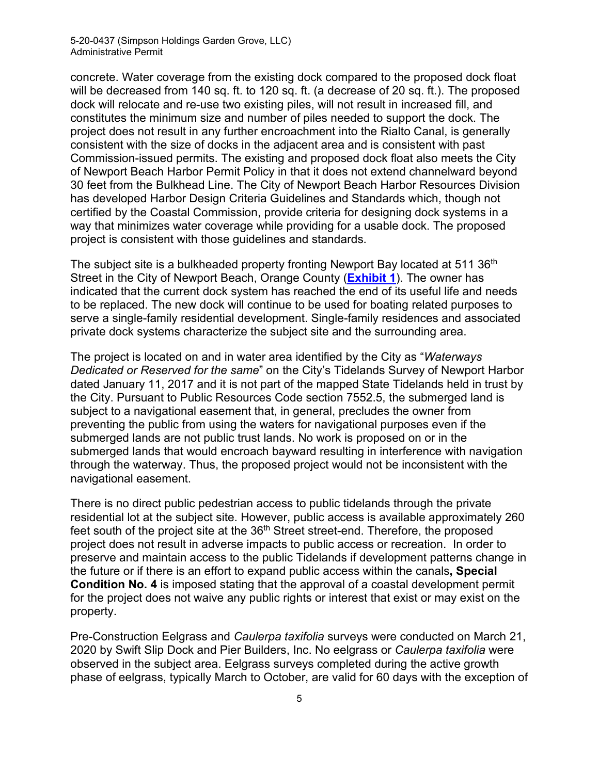#### 5-20-0437 (Simpson Holdings Garden Grove, LLC) Administrative Permit

concrete. Water coverage from the existing dock compared to the proposed dock float will be decreased from 140 sq. ft. to 120 sq. ft. (a decrease of 20 sq. ft.). The proposed dock will relocate and re-use two existing piles, will not result in increased fill, and constitutes the minimum size and number of piles needed to support the dock. The project does not result in any further encroachment into the Rialto Canal, is generally consistent with the size of docks in the adjacent area and is consistent with past Commission-issued permits. The existing and proposed dock float also meets the City of Newport Beach Harbor Permit Policy in that it does not extend channelward beyond 30 feet from the Bulkhead Line. The City of Newport Beach Harbor Resources Division has developed Harbor Design Criteria Guidelines and Standards which, though not certified by the Coastal Commission, provide criteria for designing dock systems in a way that minimizes water coverage while providing for a usable dock. The proposed project is consistent with those guidelines and standards.

The subject site is a bulkheaded property fronting Newport Bay located at 511 36<sup>th</sup> Street in the City of Newport Beach, Orange County (**[Exhibit 1](https://documents.coastal.ca.gov/reports/2021/1/W25a/W25a-1-2021-exhibits.pdf)**). The owner has indicated that the current dock system has reached the end of its useful life and needs to be replaced. The new dock will continue to be used for boating related purposes to serve a single-family residential development. Single-family residences and associated private dock systems characterize the subject site and the surrounding area.

The project is located on and in water area identified by the City as "*Waterways Dedicated or Reserved for the same*" on the City's Tidelands Survey of Newport Harbor dated January 11, 2017 and it is not part of the mapped State Tidelands held in trust by the City. Pursuant to Public Resources Code section 7552.5, the submerged land is subject to a navigational easement that, in general, precludes the owner from preventing the public from using the waters for navigational purposes even if the submerged lands are not public trust lands. No work is proposed on or in the submerged lands that would encroach bayward resulting in interference with navigation through the waterway. Thus, the proposed project would not be inconsistent with the navigational easement.

There is no direct public pedestrian access to public tidelands through the private residential lot at the subject site. However, public access is available approximately 260 feet south of the project site at the 36<sup>th</sup> Street street-end. Therefore, the proposed project does not result in adverse impacts to public access or recreation. In order to preserve and maintain access to the public Tidelands if development patterns change in the future or if there is an effort to expand public access within the canals**, Special Condition No. 4** is imposed stating that the approval of a coastal development permit for the project does not waive any public rights or interest that exist or may exist on the property.

Pre-Construction Eelgrass and *Caulerpa taxifolia* surveys were conducted on March 21, 2020 by Swift Slip Dock and Pier Builders, Inc. No eelgrass or *Caulerpa taxifolia* were observed in the subject area. Eelgrass surveys completed during the active growth phase of eelgrass, typically March to October, are valid for 60 days with the exception of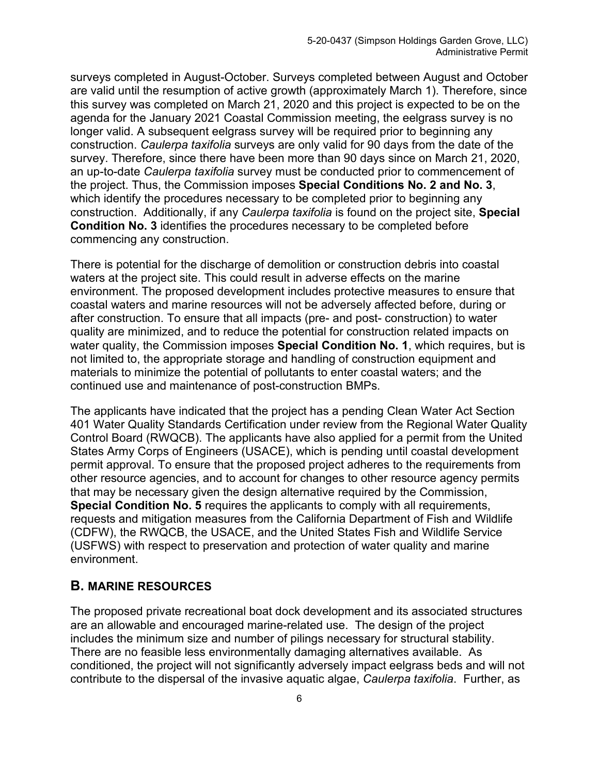surveys completed in August-October. Surveys completed between August and October are valid until the resumption of active growth (approximately March 1). Therefore, since this survey was completed on March 21, 2020 and this project is expected to be on the agenda for the January 2021 Coastal Commission meeting, the eelgrass survey is no longer valid. A subsequent eelgrass survey will be required prior to beginning any construction. *Caulerpa taxifolia* surveys are only valid for 90 days from the date of the survey. Therefore, since there have been more than 90 days since on March 21, 2020, an up-to-date *Caulerpa taxifolia* survey must be conducted prior to commencement of the project. Thus, the Commission imposes **Special Conditions No. 2 and No. 3**, which identify the procedures necessary to be completed prior to beginning any construction. Additionally, if any *Caulerpa taxifolia* is found on the project site, **Special Condition No. 3** identifies the procedures necessary to be completed before commencing any construction.

There is potential for the discharge of demolition or construction debris into coastal waters at the project site. This could result in adverse effects on the marine environment. The proposed development includes protective measures to ensure that coastal waters and marine resources will not be adversely affected before, during or after construction. To ensure that all impacts (pre- and post- construction) to water quality are minimized, and to reduce the potential for construction related impacts on water quality, the Commission imposes **Special Condition No. 1**, which requires, but is not limited to, the appropriate storage and handling of construction equipment and materials to minimize the potential of pollutants to enter coastal waters; and the continued use and maintenance of post-construction BMPs.

The applicants have indicated that the project has a pending Clean Water Act Section 401 Water Quality Standards Certification under review from the Regional Water Quality Control Board (RWQCB). The applicants have also applied for a permit from the United States Army Corps of Engineers (USACE), which is pending until coastal development permit approval. To ensure that the proposed project adheres to the requirements from other resource agencies, and to account for changes to other resource agency permits that may be necessary given the design alternative required by the Commission, **Special Condition No. 5** requires the applicants to comply with all requirements, requests and mitigation measures from the California Department of Fish and Wildlife (CDFW), the RWQCB, the USACE, and the United States Fish and Wildlife Service (USFWS) with respect to preservation and protection of water quality and marine environment.

#### <span id="page-5-0"></span>**B. MARINE RESOURCES**

The proposed private recreational boat dock development and its associated structures are an allowable and encouraged marine-related use. The design of the project includes the minimum size and number of pilings necessary for structural stability. There are no feasible less environmentally damaging alternatives available. As conditioned, the project will not significantly adversely impact eelgrass beds and will not contribute to the dispersal of the invasive aquatic algae, *Caulerpa taxifolia*. Further, as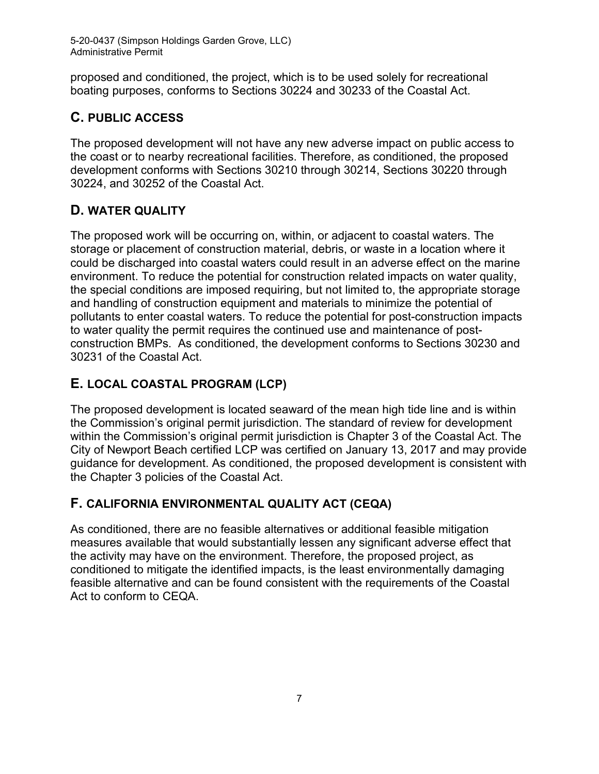5-20-0437 (Simpson Holdings Garden Grove, LLC) Administrative Permit

proposed and conditioned, the project, which is to be used solely for recreational boating purposes, conforms to Sections 30224 and 30233 of the Coastal Act.

# <span id="page-6-0"></span>**C. PUBLIC ACCESS**

The proposed development will not have any new adverse impact on public access to the coast or to nearby recreational facilities. Therefore, as conditioned, the proposed development conforms with Sections 30210 through 30214, Sections 30220 through 30224, and 30252 of the Coastal Act.

# <span id="page-6-1"></span>**D. WATER QUALITY**

The proposed work will be occurring on, within, or adjacent to coastal waters. The storage or placement of construction material, debris, or waste in a location where it could be discharged into coastal waters could result in an adverse effect on the marine environment. To reduce the potential for construction related impacts on water quality, the special conditions are imposed requiring, but not limited to, the appropriate storage and handling of construction equipment and materials to minimize the potential of pollutants to enter coastal waters. To reduce the potential for post-construction impacts to water quality the permit requires the continued use and maintenance of postconstruction BMPs. As conditioned, the development conforms to Sections 30230 and 30231 of the Coastal Act.

# <span id="page-6-2"></span>**E. LOCAL COASTAL PROGRAM (LCP)**

The proposed development is located seaward of the mean high tide line and is within the Commission's original permit jurisdiction. The standard of review for development within the Commission's original permit jurisdiction is Chapter 3 of the Coastal Act. The City of Newport Beach certified LCP was certified on January 13, 2017 and may provide guidance for development. As conditioned, the proposed development is consistent with the Chapter 3 policies of the Coastal Act.

# <span id="page-6-3"></span>**F. CALIFORNIA ENVIRONMENTAL QUALITY ACT (CEQA)**

As conditioned, there are no feasible alternatives or additional feasible mitigation measures available that would substantially lessen any significant adverse effect that the activity may have on the environment. Therefore, the proposed project, as conditioned to mitigate the identified impacts, is the least environmentally damaging feasible alternative and can be found consistent with the requirements of the Coastal Act to conform to CEQA.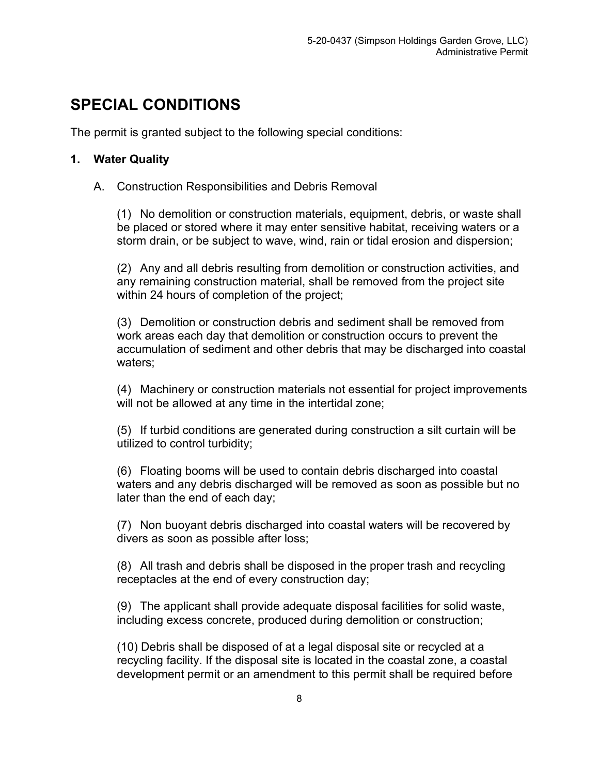# <span id="page-7-0"></span>**SPECIAL CONDITIONS**

The permit is granted subject to the following special conditions:

## **1. Water Quality**

#### A. Construction Responsibilities and Debris Removal

(1) No demolition or construction materials, equipment, debris, or waste shall be placed or stored where it may enter sensitive habitat, receiving waters or a storm drain, or be subject to wave, wind, rain or tidal erosion and dispersion;

(2) Any and all debris resulting from demolition or construction activities, and any remaining construction material, shall be removed from the project site within 24 hours of completion of the project;

(3) Demolition or construction debris and sediment shall be removed from work areas each day that demolition or construction occurs to prevent the accumulation of sediment and other debris that may be discharged into coastal waters;

(4) Machinery or construction materials not essential for project improvements will not be allowed at any time in the intertidal zone;

(5) If turbid conditions are generated during construction a silt curtain will be utilized to control turbidity;

(6) Floating booms will be used to contain debris discharged into coastal waters and any debris discharged will be removed as soon as possible but no later than the end of each day;

(7) Non buoyant debris discharged into coastal waters will be recovered by divers as soon as possible after loss;

(8) All trash and debris shall be disposed in the proper trash and recycling receptacles at the end of every construction day;

(9) The applicant shall provide adequate disposal facilities for solid waste, including excess concrete, produced during demolition or construction;

(10) Debris shall be disposed of at a legal disposal site or recycled at a recycling facility. If the disposal site is located in the coastal zone, a coastal development permit or an amendment to this permit shall be required before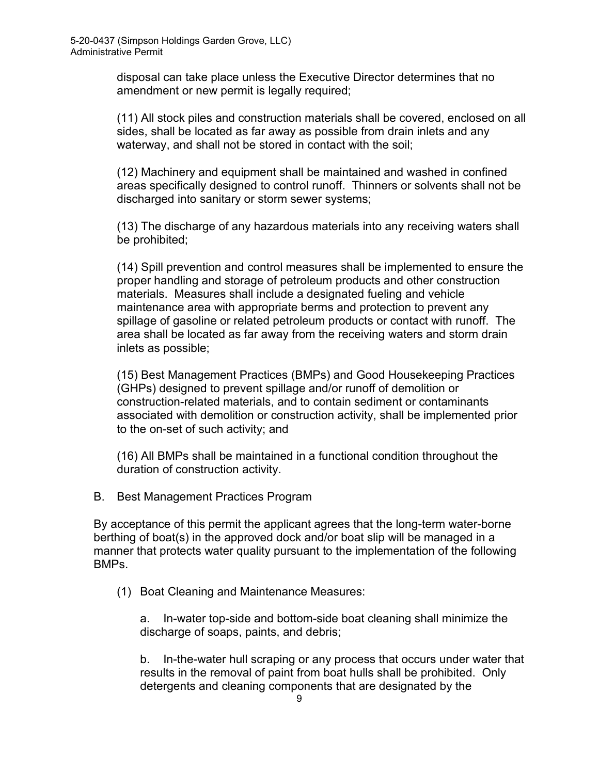disposal can take place unless the Executive Director determines that no amendment or new permit is legally required;

(11) All stock piles and construction materials shall be covered, enclosed on all sides, shall be located as far away as possible from drain inlets and any waterway, and shall not be stored in contact with the soil;

(12) Machinery and equipment shall be maintained and washed in confined areas specifically designed to control runoff. Thinners or solvents shall not be discharged into sanitary or storm sewer systems;

(13) The discharge of any hazardous materials into any receiving waters shall be prohibited;

(14) Spill prevention and control measures shall be implemented to ensure the proper handling and storage of petroleum products and other construction materials. Measures shall include a designated fueling and vehicle maintenance area with appropriate berms and protection to prevent any spillage of gasoline or related petroleum products or contact with runoff. The area shall be located as far away from the receiving waters and storm drain inlets as possible;

(15) Best Management Practices (BMPs) and Good Housekeeping Practices (GHPs) designed to prevent spillage and/or runoff of demolition or construction-related materials, and to contain sediment or contaminants associated with demolition or construction activity, shall be implemented prior to the on-set of such activity; and

(16) All BMPs shall be maintained in a functional condition throughout the duration of construction activity.

B. Best Management Practices Program

By acceptance of this permit the applicant agrees that the long-term water-borne berthing of boat(s) in the approved dock and/or boat slip will be managed in a manner that protects water quality pursuant to the implementation of the following BMPs.

(1) Boat Cleaning and Maintenance Measures:

a. In-water top-side and bottom-side boat cleaning shall minimize the discharge of soaps, paints, and debris;

b. In-the-water hull scraping or any process that occurs under water that results in the removal of paint from boat hulls shall be prohibited. Only detergents and cleaning components that are designated by the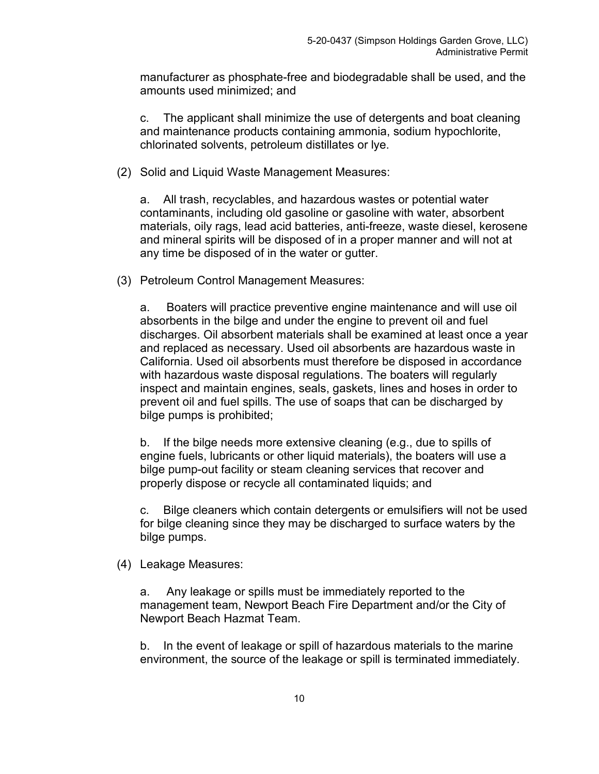manufacturer as phosphate-free and biodegradable shall be used, and the amounts used minimized; and

c. The applicant shall minimize the use of detergents and boat cleaning and maintenance products containing ammonia, sodium hypochlorite, chlorinated solvents, petroleum distillates or lye.

(2) Solid and Liquid Waste Management Measures:

a. All trash, recyclables, and hazardous wastes or potential water contaminants, including old gasoline or gasoline with water, absorbent materials, oily rags, lead acid batteries, anti-freeze, waste diesel, kerosene and mineral spirits will be disposed of in a proper manner and will not at any time be disposed of in the water or gutter.

(3) Petroleum Control Management Measures:

a. Boaters will practice preventive engine maintenance and will use oil absorbents in the bilge and under the engine to prevent oil and fuel discharges. Oil absorbent materials shall be examined at least once a year and replaced as necessary. Used oil absorbents are hazardous waste in California. Used oil absorbents must therefore be disposed in accordance with hazardous waste disposal regulations. The boaters will regularly inspect and maintain engines, seals, gaskets, lines and hoses in order to prevent oil and fuel spills. The use of soaps that can be discharged by bilge pumps is prohibited;

b. If the bilge needs more extensive cleaning (e.g., due to spills of engine fuels, lubricants or other liquid materials), the boaters will use a bilge pump-out facility or steam cleaning services that recover and properly dispose or recycle all contaminated liquids; and

c. Bilge cleaners which contain detergents or emulsifiers will not be used for bilge cleaning since they may be discharged to surface waters by the bilge pumps.

(4) Leakage Measures:

a. Any leakage or spills must be immediately reported to the management team, Newport Beach Fire Department and/or the City of Newport Beach Hazmat Team.

b. In the event of leakage or spill of hazardous materials to the marine environment, the source of the leakage or spill is terminated immediately.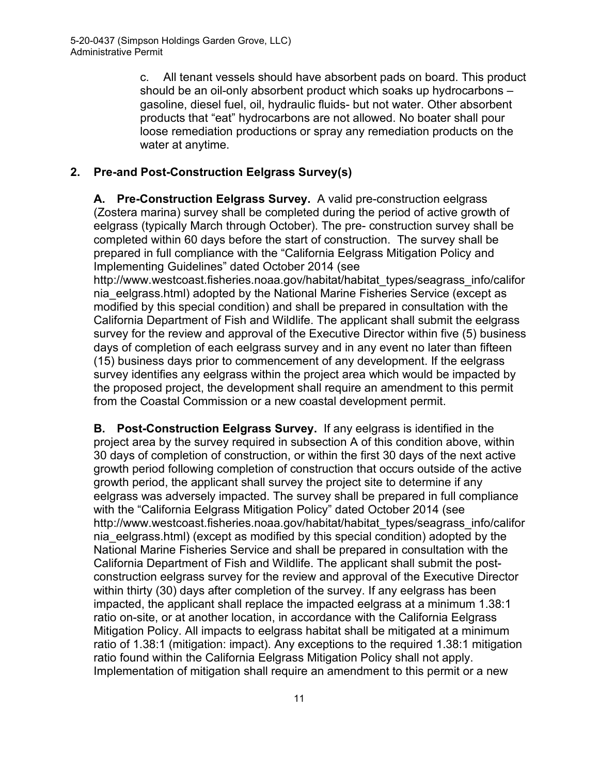c. All tenant vessels should have absorbent pads on board. This product should be an oil-only absorbent product which soaks up hydrocarbons – gasoline, diesel fuel, oil, hydraulic fluids- but not water. Other absorbent products that "eat" hydrocarbons are not allowed. No boater shall pour loose remediation productions or spray any remediation products on the water at anytime.

#### **2. Pre-and Post-Construction Eelgrass Survey(s)**

**A. Pre-Construction Eelgrass Survey.** A valid pre-construction eelgrass (Zostera marina) survey shall be completed during the period of active growth of eelgrass (typically March through October). The pre- construction survey shall be completed within 60 days before the start of construction. The survey shall be prepared in full compliance with the "California Eelgrass Mitigation Policy and Implementing Guidelines" dated October 2014 (see

http://www.westcoast.fisheries.noaa.gov/habitat/habitat\_types/seagrass\_info/califor nia\_eelgrass.html) adopted by the National Marine Fisheries Service (except as modified by this special condition) and shall be prepared in consultation with the California Department of Fish and Wildlife. The applicant shall submit the eelgrass survey for the review and approval of the Executive Director within five (5) business days of completion of each eelgrass survey and in any event no later than fifteen (15) business days prior to commencement of any development. If the eelgrass survey identifies any eelgrass within the project area which would be impacted by the proposed project, the development shall require an amendment to this permit from the Coastal Commission or a new coastal development permit.

**B. Post-Construction Eelgrass Survey.** If any eelgrass is identified in the project area by the survey required in subsection A of this condition above, within 30 days of completion of construction, or within the first 30 days of the next active growth period following completion of construction that occurs outside of the active growth period, the applicant shall survey the project site to determine if any eelgrass was adversely impacted. The survey shall be prepared in full compliance with the "California Eelgrass Mitigation Policy" dated October 2014 (see http://www.westcoast.fisheries.noaa.gov/habitat/habitat\_types/seagrass\_info/califor nia\_eelgrass.html) (except as modified by this special condition) adopted by the National Marine Fisheries Service and shall be prepared in consultation with the California Department of Fish and Wildlife. The applicant shall submit the postconstruction eelgrass survey for the review and approval of the Executive Director within thirty (30) days after completion of the survey. If any eelgrass has been impacted, the applicant shall replace the impacted eelgrass at a minimum 1.38:1 ratio on-site, or at another location, in accordance with the California Eelgrass Mitigation Policy. All impacts to eelgrass habitat shall be mitigated at a minimum ratio of 1.38:1 (mitigation: impact). Any exceptions to the required 1.38:1 mitigation ratio found within the California Eelgrass Mitigation Policy shall not apply. Implementation of mitigation shall require an amendment to this permit or a new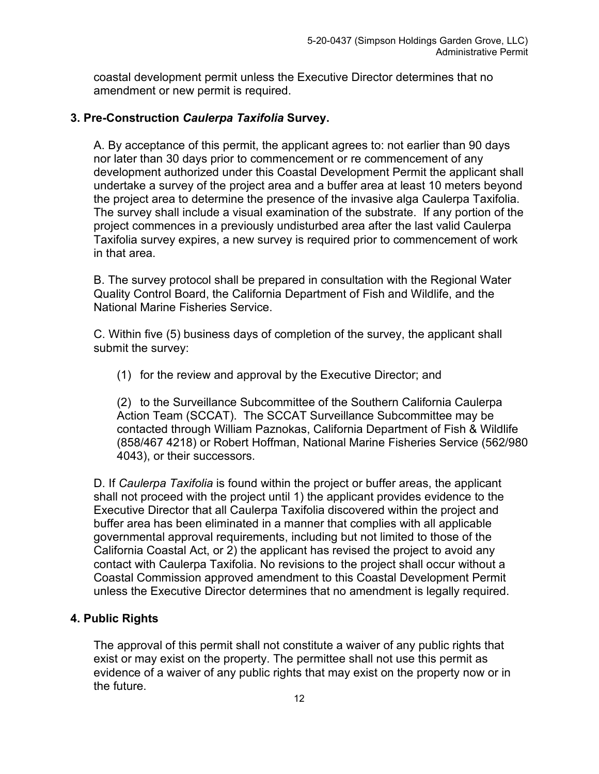coastal development permit unless the Executive Director determines that no amendment or new permit is required.

#### **3. Pre-Construction** *Caulerpa Taxifolia* **Survey.**

A. By acceptance of this permit, the applicant agrees to: not earlier than 90 days nor later than 30 days prior to commencement or re commencement of any development authorized under this Coastal Development Permit the applicant shall undertake a survey of the project area and a buffer area at least 10 meters beyond the project area to determine the presence of the invasive alga Caulerpa Taxifolia. The survey shall include a visual examination of the substrate. If any portion of the project commences in a previously undisturbed area after the last valid Caulerpa Taxifolia survey expires, a new survey is required prior to commencement of work in that area.

B. The survey protocol shall be prepared in consultation with the Regional Water Quality Control Board, the California Department of Fish and Wildlife, and the National Marine Fisheries Service.

C. Within five (5) business days of completion of the survey, the applicant shall submit the survey:

(1) for the review and approval by the Executive Director; and

(2) to the Surveillance Subcommittee of the Southern California Caulerpa Action Team (SCCAT). The SCCAT Surveillance Subcommittee may be contacted through William Paznokas, California Department of Fish & Wildlife (858/467 4218) or Robert Hoffman, National Marine Fisheries Service (562/980 4043), or their successors.

D. If *Caulerpa Taxifolia* is found within the project or buffer areas, the applicant shall not proceed with the project until 1) the applicant provides evidence to the Executive Director that all Caulerpa Taxifolia discovered within the project and buffer area has been eliminated in a manner that complies with all applicable governmental approval requirements, including but not limited to those of the California Coastal Act, or 2) the applicant has revised the project to avoid any contact with Caulerpa Taxifolia. No revisions to the project shall occur without a Coastal Commission approved amendment to this Coastal Development Permit unless the Executive Director determines that no amendment is legally required.

#### **4. Public Rights**

The approval of this permit shall not constitute a waiver of any public rights that exist or may exist on the property. The permittee shall not use this permit as evidence of a waiver of any public rights that may exist on the property now or in the future.